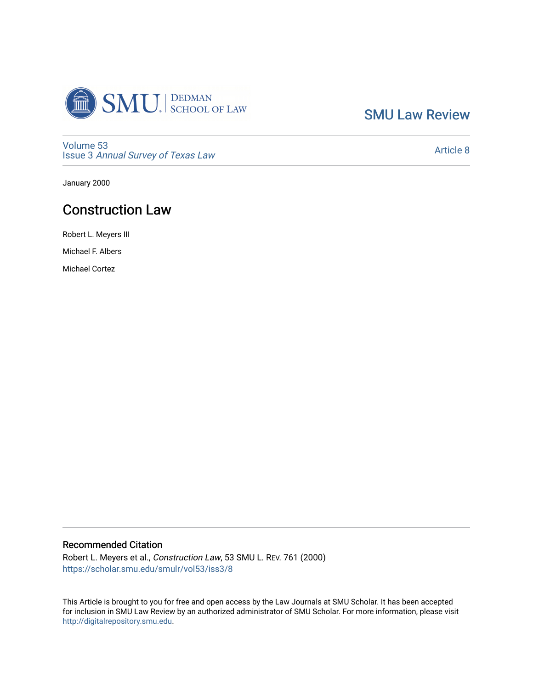

[SMU Law Review](https://scholar.smu.edu/smulr) 

[Volume 53](https://scholar.smu.edu/smulr/vol53) Issue 3 [Annual Survey of Texas Law](https://scholar.smu.edu/smulr/vol53/iss3) 

[Article 8](https://scholar.smu.edu/smulr/vol53/iss3/8) 

January 2000

# Construction Law

Robert L. Meyers III

Michael F. Albers

Michael Cortez

## Recommended Citation

Robert L. Meyers et al., Construction Law, 53 SMU L. REV. 761 (2000) [https://scholar.smu.edu/smulr/vol53/iss3/8](https://scholar.smu.edu/smulr/vol53/iss3/8?utm_source=scholar.smu.edu%2Fsmulr%2Fvol53%2Fiss3%2F8&utm_medium=PDF&utm_campaign=PDFCoverPages) 

This Article is brought to you for free and open access by the Law Journals at SMU Scholar. It has been accepted for inclusion in SMU Law Review by an authorized administrator of SMU Scholar. For more information, please visit [http://digitalrepository.smu.edu.](http://digitalrepository.smu.edu/)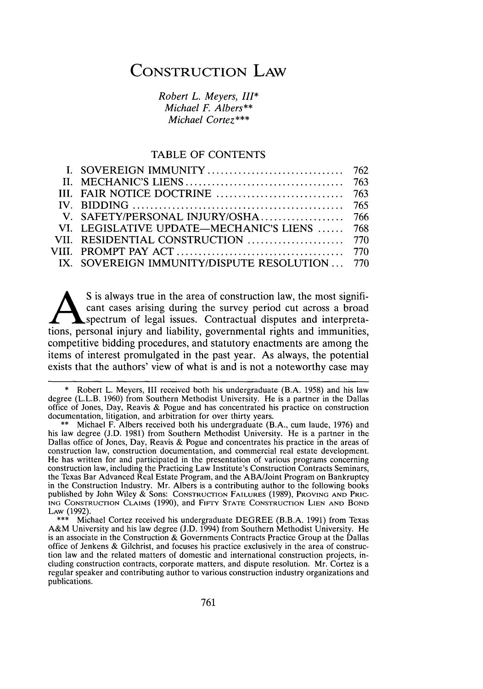# **CONSTRUCTION** LAW

*Robert L. Meyers, III\* Michael F. Albers\*\* Michael Cortez\*\*\**

#### TABLE OF CONTENTS

| VI. LEGISLATIVE UPDATE—MECHANIC'S LIENS  768  |  |
|-----------------------------------------------|--|
|                                               |  |
|                                               |  |
| IX. SOVEREIGN IMMUNITY/DISPUTE RESOLUTION 770 |  |
|                                               |  |

S is always true in the area of construction law, the most significant cases arising during the survey period cut across a broad spectrum of legal issues. Contractual disputes and interpretations, personal injury and liability, governmental rights and immunities, competitive bidding procedures, and statutory enactments are among the items of interest promulgated in the past year. As always, the potential exists that the authors' view of what is and is not a noteworthy case may

<sup>\*</sup> Robert L. Meyers, III received both his undergraduate (B.A. 1958) and his law degree (L.L.B. 1960) from Southern Methodist University. He is a partner in the Dallas office of Jones, Day, Reavis & Pogue and has concentrated his practice on construction documentation, litigation, and arbitration for over thirty years.

<sup>\*\*</sup> Michael F. Albers received both his undergraduate (B.A., cum laude, 1976) and his law degree (J.D. 1981) from Southern Methodist University. He is a partner in the Dallas office of Jones, Day, Reavis & Pogue and concentrates his practice in the areas of construction law, construction documentation, and commercial real estate development. He has written for and participated in the presentation of various programs concerning construction law, including the Practicing Law Institute's Construction Contracts Seminars, the Texas Bar Advanced Real Estate Program, and the ABA/Joint Program on Bankruptcy in the Construction Industry. Mr. Albers is a contributing author to the following books published by John Wiley & Sons: CONSTRUCTION FAILURES (1989), PROVING **AND** PRIC- **ING** CONSTRUCTION **CLAIMS** (1990), and FivrY **STATE** CONSTRUCTION LIEN **AND** BOND LAW (1992).

<sup>\*\*\*</sup> Michael Cortez received his undergraduate DEGREE (B.B.A. 1991) from Texas A&M University and his law degree **(J.D.** 1994) from Southern Methodist University. He is an associate in the Construction & Governments Contracts Practice Group at the Dallas office of Jenkens & Gilchrist, and focuses his practice exclusively in the area of construction law and the related matters of domestic and international construction projects, including construction contracts, corporate matters, and dispute resolution. Mr. Cortez is a regular speaker and contributing author to various construction industry organizations and publications.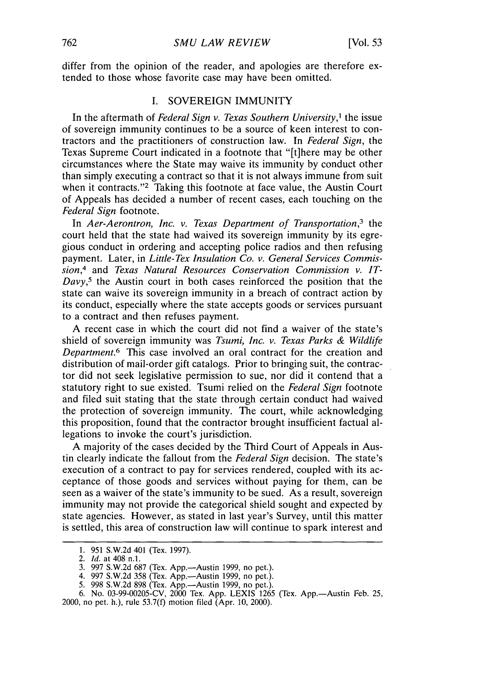differ from the opinion of the reader, and apologies are therefore extended to those whose favorite case may have been omitted.

#### I. SOVEREIGN IMMUNITY

In the aftermath of *Federal Sign v. Texas Southern University,'* the issue of sovereign immunity continues to be a source of keen interest to contractors and the practitioners of construction law. In *Federal Sign,* the Texas Supreme Court indicated in a footnote that "[t]here may be other circumstances where the State may waive its immunity by conduct other than simply executing a contract so that it is not always immune from suit when it contracts."<sup>2</sup> Taking this footnote at face value, the Austin Court of Appeals has decided a number of recent cases, each touching on the *Federal Sign* footnote.

In *Aer-Aerontron, Inc. v. Texas Department of Transportation,3* the court held that the state had waived its sovereign immunity by its egregious conduct in ordering and accepting police radios and then refusing payment. Later, in *Little-Tex Insulation Co. v. General Services Commission,4* and *Texas Natural Resources Conservation Commission v. IT-Davy,5* the Austin court in both cases reinforced the position that the state can waive its sovereign immunity in a breach of contract action by its conduct, especially where the state accepts goods or services pursuant to a contract and then refuses payment.

A recent case in which the court did not find a waiver of the state's shield of sovereign immunity was *Tsumi, Inc. v. Texas Parks & Wildlife Department.6* This case involved an oral contract for the creation and distribution of mail-order gift catalogs. Prior to bringing suit, the contractor did not seek legislative permission to sue, nor did it contend that a statutory right to sue existed. Tsumi relied on the *Federal Sign* footnote and filed suit stating that the state through certain conduct had waived the protection of sovereign immunity. The court, while acknowledging this proposition, found that the contractor brought insufficient factual allegations to invoke the court's jurisdiction.

A majority of the cases decided by the Third Court of Appeals in Austin clearly indicate the fallout from the *Federal Sign* decision. The state's execution of a contract to pay for services rendered, coupled with its acceptance of those goods and services without paying for them, can be seen as a waiver of the state's immunity to be sued. As a result, sovereign immunity may not provide the categorical shield sought and expected by state agencies. However, as stated in last year's Survey, until this matter is settled, this area of construction law will continue to spark interest and

<sup>1. 951</sup> S.W.2d 401 (Tex. 1997).

<sup>2.</sup> Id. at 408 n.1.

<sup>3. 997</sup> S.W.2d 687 (Tex. App.—Austin 1999, no pet.).

<sup>4. 997</sup> S.W.2d 358 (Tex. App.-Austin 1999, no pet.).

<sup>5. 998</sup> S.W.2d 898 (Tex. App.—Austin 1999, no pet.).

<sup>6.</sup> No. 03-99-00205-CV, 2000 Tex. App. LEXIS 1265 (Tex. App.-Austin Feb. 25,

<sup>2000,</sup> no pet. h.), rule 53.7(f) motion filed (Apr. 10, 2000).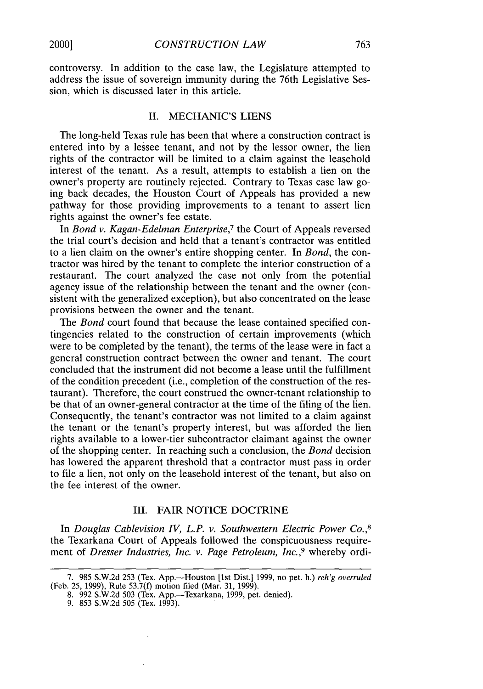controversy. In addition to the case law, the Legislature attempted to address the issue of sovereign immunity during the 76th Legislative Session, which is discussed later in this article.

## II. MECHANIC'S LIENS

The long-held Texas rule has been that where a construction contract is entered into by a lessee tenant, and not by the lessor owner, the lien rights of the contractor will be limited to a claim against the leasehold interest of the tenant. As a result, attempts to establish a lien on the owner's property are routinely rejected. Contrary to Texas case law going back decades, the Houston Court of Appeals has provided a new pathway for those providing improvements to a tenant to assert lien rights against the owner's fee estate.

In *Bond v. Kagan-Edelman Enterprise,7* the Court of Appeals reversed the trial court's decision and held that a tenant's contractor was entitled to a lien claim on the owner's entire shopping center. In *Bond,* the contractor was hired by the tenant to complete the interior construction of a restaurant. The court analyzed the case not only from the potential agency issue of the relationship between the tenant and the owner (consistent With the generalized exception), but also concentrated on the lease provisions between the owner and the tenant.

The *Bond* court found that because the lease contained specified contingencies related to the construction of certain improvements (which were to be completed by the tenant), the terms of the lease were in fact a general construction contract between the owner and tenant. The court concluded that the instrument did not become a lease until the fulfillment of the condition precedent (i.e., completion of the construction of the restaurant). Therefore, the court construed the owner-tenant relationship to be that of an owner-general contractor at the time of the filing of the lien. Consequently, the tenant's contractor was not limited to a claim against the tenant or the tenant's property interest, but was afforded the lien rights available to a lower-tier subcontractor claimant against the owner of the shopping center. In reaching such a conclusion, the *Bond* decision has lowered the apparent threshold that a contractor must pass in order to file a lien, not only on the leasehold interest of the tenant, but also on the fee interest of the owner.

## III. FAIR NOTICE DOCTRINE

In *Douglas Cablevision IV, L.P. v. Southwestern Electric Power Co.,8* the Texarkana Court of Appeals followed the conspicuousness requirement of *Dresser Industries, Inc. v. Page Petroleum, Inc.,9* whereby ordi-

<sup>7. 985</sup> S.W.2d 253 (Tex. App.-Houston [1st Dist.] 1999, no pet. h.) *reh'g overruled* (Feb. 25, 1999), Rule 53.7(f) motion filed (Mar. 31, 1999).

<sup>8. 992</sup> S.W.2d 503 (Tex. App.—Texarkana, 1999, pet. denied).

<sup>9. 853</sup> S.W.2d 505 (Tex. 1993).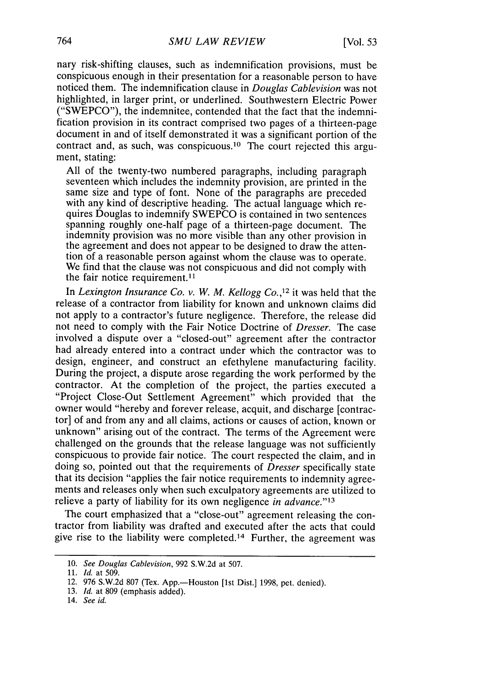nary risk-shifting clauses, such as indemnification provisions, must be conspicuous enough in their presentation for a reasonable person to have noticed them. The indemnification clause in *Douglas Cablevision* was not highlighted, in larger print, or underlined. Southwestern Electric Power ("SWEPCO"), the indemnitee, contended that the fact that the indemnification provision in its contract comprised two pages of a thirteen-page document in and of itself demonstrated it was a significant portion of the contract and, as such, was conspicuous. 10 The court rejected this argument, stating:

All of the twenty-two numbered paragraphs, including paragraph seventeen which includes the indemnity provision, are printed in the same size and type of font. None of the paragraphs are preceded with any kind of descriptive heading. The actual language which requires Douglas to indemnify SWEPCO is contained in two sentences spanning roughly one-half page of a thirteen-page document. The indemnity provision was no more visible than any other provision in the agreement and does not appear to be designed to draw the attention of a reasonable person against whom the clause was to operate. We find that the clause was not conspicuous and did not comply with the fair notice requirement.<sup>11</sup>

In *Lexington Insurance Co. v. W. M. Kellogg Co.*,<sup>12</sup> it was held that the release of a contractor from liability for known and unknown claims did not apply to a contractor's future negligence. Therefore, the release did not need to comply with the Fair Notice Doctrine of *Dresser.* The case involved a dispute over a "closed-out" agreement after the contractor had already entered into a contract under which the contractor was to design, engineer, and construct an efethylene manufacturing facility. During the project, a dispute arose regarding the work performed by the contractor. At the completion of the project, the parties executed a "Project Close-Out Settlement Agreement" which provided that the owner would "hereby and forever release, acquit, and discharge [contractor] of and from any and all claims, actions or causes of action, known or unknown" arising out of the contract. The terms of the Agreement were challenged on the grounds that the release language was not sufficiently conspicuous to provide fair notice. The court respected the claim, and in doing so, pointed out that the requirements of *Dresser* specifically state that its decision "applies the fair notice requirements to indemnity agreements and releases only when such exculpatory agreements are utilized to relieve a party of liability for its own negligence *in advance.' <sup>3</sup>*

The court emphasized that a "close-out" agreement releasing the contractor from liability was drafted and executed after the acts that could give rise to the liability were completed. 14 Further, the agreement was

<sup>10.</sup> *See Douglas Cablevision,* 992 S.W.2d at 507.

<sup>11.</sup> *Id.* at 509.

<sup>12. 976</sup> S.W.2d 807 (Tex. App.—Houston [1st Dist.] 1998, pet. denied).

<sup>13.</sup> *Id.* at 809 (emphasis added).

<sup>14.</sup> *See id.*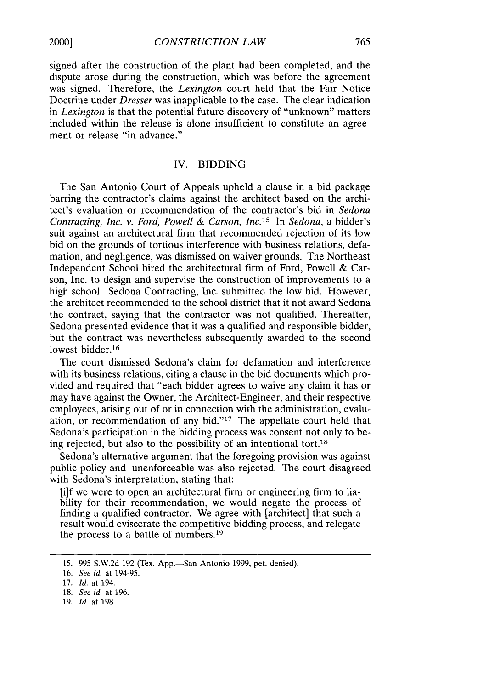signed after the construction of the plant had been completed, and the dispute arose during the construction, which was before the agreement was signed. Therefore, the *Lexington* court held that the Fair Notice Doctrine under *Dresser* was inapplicable to the case. The clear indication in *Lexington* is that the potential future discovery of "unknown" matters included within the release is alone insufficient to constitute an agreement or release "in advance."

## IV. BIDDING

The San Antonio Court of Appeals upheld a clause in a bid package barring the contractor's claims against the architect based on the architect's evaluation or recommendation of the contractor's bid in *Sedona Contracting, Inc. v. Ford, Powell & Carson, Inc.15* In *Sedona,* a bidder's suit against an architectural firm that recommended rejection of its low bid on the grounds of tortious interference with business relations, defamation, and negligence, was dismissed on waiver grounds. The Northeast Independent School hired the architectural firm of Ford, Powell & Carson, Inc. to design and supervise the construction of improvements to a high school. Sedona Contracting, Inc. submitted the low bid. However, the architect recommended to the school district that it not award Sedona the contract, saying that the contractor was not qualified. Thereafter, Sedona presented evidence that it was a qualified and responsible bidder, but the contract was nevertheless subsequently awarded to the second lowest bidder.<sup>16</sup>

The court dismissed Sedona's claim for defamation and interference with its business relations, citing a clause in the bid documents which provided and required that "each bidder agrees to waive any claim it has or may have against the Owner, the Architect-Engineer, and their respective employees, arising out of or in connection with the administration, evaluation, or recommendation of any bid."'17 The appellate court held that Sedona's participation in the bidding process was consent not only to being rejected, but also to the possibility of an intentional tort.<sup>18</sup>

Sedona's alternative argument that the foregoing provision was against public policy and unenforceable was also rejected. The court disagreed with Sedona's interpretation, stating that:

[i]f we were to open an architectural firm or engineering firm to liability for their recommendation, we would negate the process of finding a qualified contractor. We agree with [architect] that such a result would eviscerate the competitive bidding process, and relegate the process to a battle of numbers.<sup>19</sup>

19. *Id.* at 198.

<sup>15. 995</sup> S.W.2d 192 (Tex. App.-San Antonio 1999, pet. denied).

<sup>16.</sup> See id. at 194-95.

<sup>17.</sup> *Id.* at 194.

<sup>18.</sup> *See id.* at 196.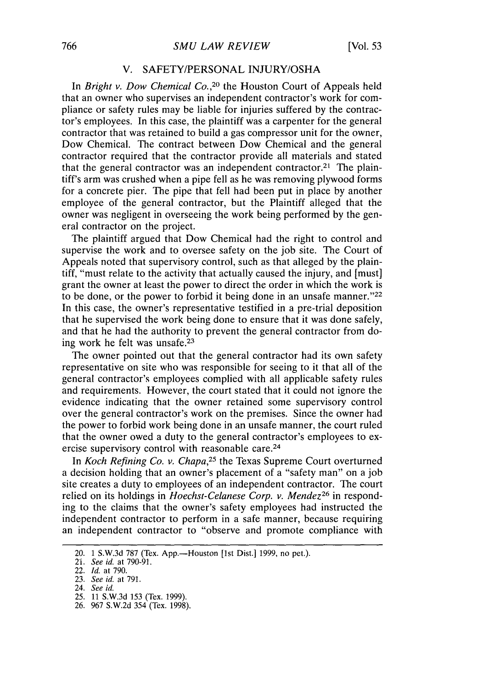#### V. SAFETY/PERSONAL INJURY/OSHA

In *Bright v. Dow Chemical Co.,20* the Houston Court of Appeals held that an owner who supervises an independent contractor's work for compliance or safety rules may be liable for injuries suffered by the contractor's employees. In this case, the plaintiff was a carpenter for the general contractor that was retained to build a gas compressor unit for the owner, Dow Chemical. The contract between Dow Chemical and the general contractor required that the contractor provide all materials and stated that the general contractor was an independent contractor.<sup>21</sup> The plaintiff's arm was crushed when a pipe fell as he was removing plywood forms for a concrete pier. The pipe that fell had been put in place by another employee of the general contractor, but the Plaintiff alleged that the owner was negligent in overseeing the work being performed by the general contractor on the project.

The plaintiff argued that Dow Chemical had the right to control and supervise the work and to oversee safety on the job site. The Court of Appeals noted that supervisory control, such as that alleged by the plaintiff, "must relate to the activity that actually caused the injury, and [must] grant the owner at least the power to direct the order in which the work is to be done, or the power to forbid it being done in an unsafe manner."<sup>22</sup> In this case, the owner's representative testified in a pre-trial deposition that he supervised the work being done to ensure that it was done safely, and that he had the authority to prevent the general contractor from doing work he felt was unsafe.<sup>23</sup>

The owner pointed out that the general contractor had its own safety representative on site who was responsible for seeing to it that all of the general contractor's employees complied with all applicable safety rules and requirements. However, the court stated that it could not ignore the evidence indicating that the owner retained some supervisory control over the general contractor's work on the premises. Since the owner had the power to forbid work being done in an unsafe manner, the court ruled that the owner owed a duty to the general contractor's employees to exercise supervisory control with reasonable care.<sup>24</sup>

In *Koch Refining Co. v. Chapa,25* the Texas Supreme Court overturned a decision holding that an owner's placement of a "safety man" on a job site creates a duty to employees of an independent contractor. The court relied on its holdings in *Hoechst-Celanese Corp. v. Mendez26* in responding to the claims that the owner's safety employees had instructed the independent contractor to perform in a safe manner, because requiring an independent contractor to "observe and promote compliance with

<sup>20. 1</sup> S.W.3d 787 (Tex. App.--Houston [1st Dist.] 1999, no pet.).

<sup>21.</sup> *See id.* at 790-91.

<sup>22.</sup> *Id.* at 790.

<sup>23.</sup> *See* id. at 791.

<sup>24.</sup> See *id.*

<sup>25. 11</sup> S.W.3d 153 (Tex. 1999).

<sup>26. 967</sup> S.W.2d 354 (Tex. 1998).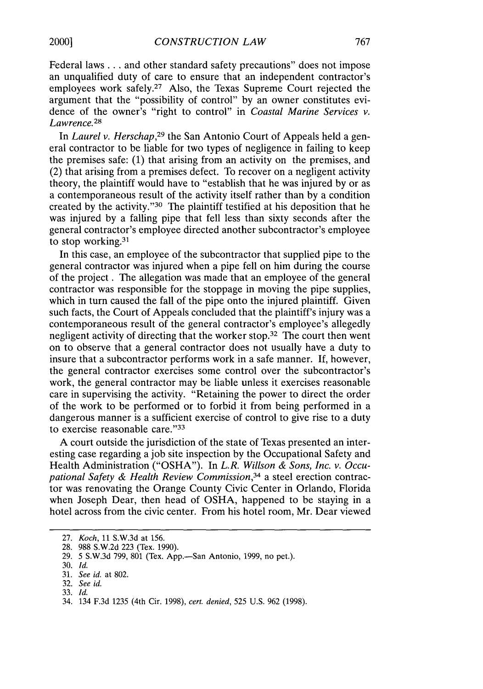Federal laws **...** and other standard safety precautions" does not impose an unqualified duty of care to ensure that an independent contractor's employees work safely.<sup>27</sup> Also, the Texas Supreme Court rejected the argument that the "possibility of control" by an owner constitutes evidence of the owner's "right to control" in *Coastal Marine Services v. Lawrence.28*

In *Laurel v. Herschap,29* the San Antonio Court of Appeals held a general contractor to be liable for two types of negligence in failing to keep the premises safe: (1) that arising from an activity on the premises, and (2) that arising from a premises defect. To recover on a negligent activity theory, the plaintiff would have to "establish that he was injured by or as a contemporaneous result of the activity itself rather than by a condition created by the activity."<sup>30</sup> The plaintiff testified at his deposition that he was injured by a falling pipe that fell less than sixty seconds after the general contractor's employee directed another subcontractor's employee to stop working.31

In this case, an employee of the subcontractor that supplied pipe to the general contractor was injured when a pipe fell on him during the course of the project. The allegation was made that an employee of the general contractor was responsible for the stoppage in moving the pipe supplies, which in turn caused the fall of the pipe onto the injured plaintiff. Given such facts, the Court of Appeals concluded that the plaintiff's injury was a contemporaneous result of the general contractor's employee's allegedly negligent activity of directing that the worker stop.32 The court then went on to observe that a general contractor does not usually have a duty to insure that a subcontractor performs work in a safe manner. If, however, the general contractor exercises some control over the subcontractor's work, the general contractor may be liable unless it exercises reasonable care in supervising the activity. "Retaining the power to direct the order of the work to be performed or to forbid it from being performed in a dangerous manner is a sufficient exercise of control to give rise to a duty to exercise reasonable care."33

A court outside the jurisdiction of the state of Texas presented an interesting case regarding a job site inspection by the Occupational Safety and Health Administration ("OSHA"). In *L.R. Willson & Sons, Inc. v. Occupational Safety & Health Review Commission,34* a steel erection contractor was renovating the Orange County Civic Center in Orlando, Florida when Joseph Dear, then head of OSHA, happened to be staying in a hotel across from the civic center. From his hotel room, Mr. Dear viewed

<sup>27.</sup> *Koch,* 11 S.W.3d at 156.

<sup>28. 988</sup> S.W.2d 223 (Tex. 1990).

<sup>29. 5</sup> S.W.3d 799, 801 (Tex. App.-San Antonio, 1999, no pet.).

<sup>30.</sup> *Id.*

<sup>31.</sup> *See id.* at 802.

<sup>32.</sup> *See id.*

<sup>33.</sup> *Id.*

<sup>34. 134</sup> F.3d 1235 (4th Cir. 1998), *cert. denied,* 525 U.S. 962 (1998).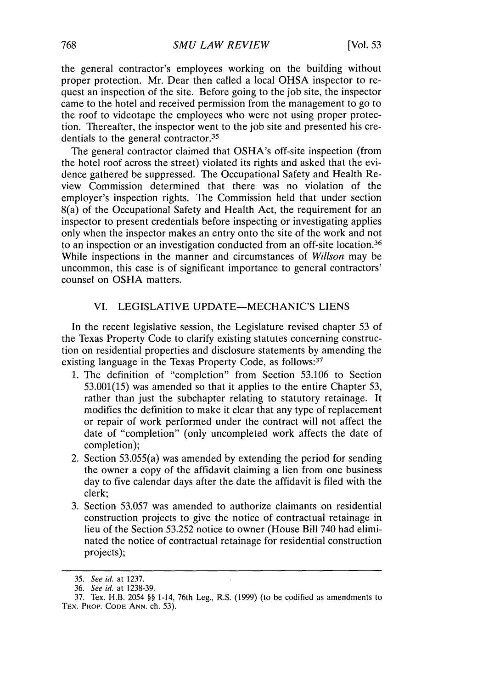the general contractor's employees working on the building without proper protection. Mr. Dear then called a local OHSA inspector to request an inspection of the site. Before going to the job site, the inspector came to the hotel and received permission from the management to go to the roof to videotape the employees who were not using proper protection. Thereafter, the inspector went to the job site and presented his credentials to the general contractor.<sup>35</sup>

The general contractor claimed that OSHA's off-site inspection (from the hotel roof across the street) violated its rights and asked that the evidence gathered be suppressed. The Occupational Safety and Health Review Commission determined that there was no violation of the employer's inspection rights. The Commission held that under section 8(a) of the Occupational Safety and Health Act, the requirement for an inspector to present credentials before inspecting or investigating applies only when the inspector makes an entry onto the site of the work and not to an inspection or an investigation conducted from an off-site location. <sup>36</sup> While inspections in the manner and circumstances of *Willson* may be uncommon, this case is of significant importance to general contractors' counsel on OSHA matters.

### VI. LEGISLATIVE UPDATE-MECHANIC'S LIENS

In the recent legislative session, the Legislature revised chapter 53 of the Texas Property Code to clarify existing statutes concerning construction on residential properties and disclosure statements by amending the existing language in the Texas Property Code, as follows: 37

- 1. The definition of "completion" from Section 53.106 to Section 53.001(15) was amended so that it applies to the entire Chapter 53, rather than just the subchapter relating to statutory retainage. It modifies the definition to make it clear that any type of replacement or repair of work performed under the contract will not affect the date of "completion" (only uncompleted work affects the date of completion);
- 2. Section 53.055(a) was amended by extending the period for sending the owner a copy of the affidavit claiming a lien from one business day to five calendar days after the date the affidavit is filed with the clerk;
- 3. Section 53.057 was amended to authorize claimants on residential construction projects to give the notice of contractual retainage in lieu of the Section 53.252 notice to owner (House Bill 740 had eliminated the notice of contractual retainage for residential construction projects);

<sup>35.</sup> See id. at 1237.

<sup>36.</sup> See id. at 1238-39.

<sup>37.</sup> Tex. H.B. 2054 §§ 1-14, 76th Leg., R.S. (1999) (to be codified as amendments to TEX. PROP. **CODE ANN.** ch. 53).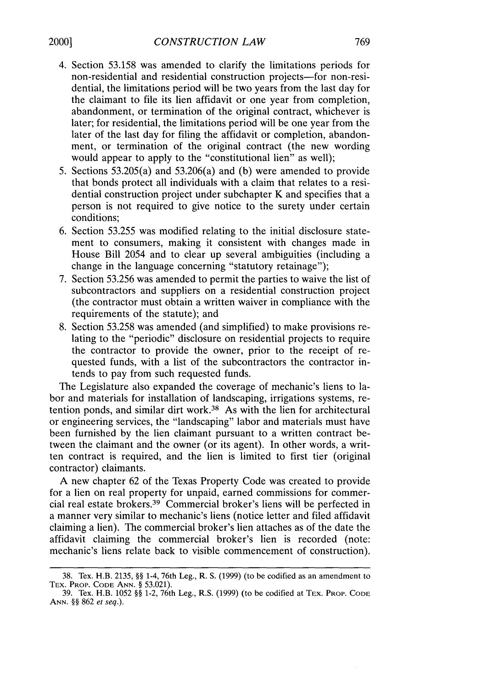- 4. Section 53.158 was amended to clarify the limitations periods for non-residential and residential construction projects-for non-residential, the limitations period will be two years from the last day for the claimant to file its lien affidavit or one year from completion, abandonment, or termination of the original contract, whichever is later; for residential, the limitations period will be one year from the later of the last day for filing the affidavit or completion, abandonment, or termination of the original contract (the new wording would appear to apply to the "constitutional lien" as well);
- 5. Sections 53.205(a) and 53.206(a) and (b) were amended to provide that bonds protect all individuals with a claim that relates to a residential construction project under subchapter K and specifies that a person is not required to give notice to the surety under certain conditions;
- 6. Section 53.255 was modified relating to the initial disclosure statement to consumers, making it consistent with changes made in House Bill 2054 and to clear up several ambiguities (including a change in the language concerning "statutory retainage");
- 7. Section 53.256 was amended to permit the parties to waive the list of subcontractors and suppliers on a residential construction project (the contractor must obtain a written waiver in compliance with the requirements of the statute); and
- 8. Section 53.258 was amended (and simplified) to make provisions relating to the "periodic" disclosure on residential projects to require the contractor to provide the owner, prior to the receipt of requested funds, with a list of the subcontractors the contractor intends to pay from such requested funds.

The Legislature also expanded the coverage of mechanic's liens to labor and materials for installation of landscaping, irrigations systems, retention ponds, and similar dirt work.38 As with the lien for architectural or engineering services, the "landscaping" labor and materials must have been furnished by the lien claimant pursuant to a written contract between the claimant and the owner (or its agent). In other words, a written contract is required, and the lien is limited to first tier (original contractor) claimants.

A new chapter 62 of the Texas Property Code was created to provide for a lien on real property for unpaid, earned commissions for commercial real estate brokers.39 Commercial broker's liens will be perfected in a manner very similar to mechanic's liens (notice letter and filed affidavit claiming a lien). The commercial broker's lien attaches as of the date the affidavit claiming the commercial broker's lien is recorded (note: mechanic's liens relate back to visible commencement of construction).

<sup>38.</sup> Tex. H.B. 2135, *§§* 1-4, 76th Leg., R. S. (1999) (to be codified as an amendment to TEX. PROP. **CODE ANN.** *§* 53.021).

<sup>39.</sup> Tex. H.B. 1052 *§§* 1-2, 76th Leg., R.S. (1999) (to be codified at TEX. PROP. **CODE** ANN. *§§* 862 et seq.).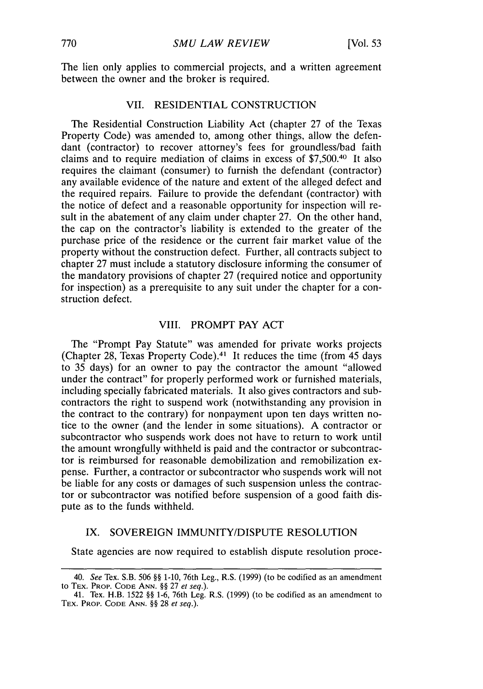The lien only applies to commercial projects, and a written agreement between the owner and the broker is required.

## VII. RESIDENTIAL CONSTRUCTION

The Residential Construction Liability Act (chapter 27 of the Texas Property Code) was amended to, among other things, allow the defendant (contractor) to recover attorney's fees for groundless/bad faith claims and to require mediation of claims in excess of \$7,500.40 It also requires the claimant (consumer) to furnish the defendant (contractor) any available evidence of the nature and extent of the alleged defect and the required repairs. Failure to provide the defendant (contractor) with the notice of defect and a reasonable opportunity for inspection will result in the abatement of any claim under chapter 27. On the other hand, the cap on the contractor's liability is extended to the greater of the purchase price of the residence or the current fair market value of the property without the construction defect. Further, all contracts subject to chapter 27 must include a statutory disclosure informing the consumer of the mandatory provisions of chapter 27 (required notice and opportunity for inspection) as a prerequisite to any suit under the chapter for a construction defect.

## VIII. PROMPT PAY ACT

The "Prompt Pay Statute" was amended for private works projects (Chapter 28, Texas Property Code). 41 It reduces the time (from 45 days to 35 days) for an owner to pay the contractor the amount "allowed under the contract" for properly performed work or furnished materials, including specially fabricated materials. It also gives contractors and subcontractors the right to suspend work (notwithstanding any provision in the contract to the contrary) for nonpayment upon ten days written notice to the owner (and the lender in some situations). A contractor or subcontractor who suspends work does not have to return to work until the amount wrongfully withheld is paid and the contractor or subcontractor is reimbursed for reasonable demobilization and remobilization expense. Further, a contractor or subcontractor who suspends work will not be liable for any costs or damages of such suspension unless the contractor or subcontractor was notified before suspension of a good faith dispute as to the funds withheld.

## IX. SOVEREIGN IMMUNITY/DISPUTE RESOLUTION

State agencies are now required to establish dispute resolution proce-

<sup>40.</sup> *See* Tex. S.B. 506 §§ 1-10, 76th Leg., R.S. (1999) (to be codified as an amendment to TEx. PROP. **CODE ANN.** §§ 27 et *seq.).*

<sup>41.</sup> Tex. H.B. 1522 §§ 1-6, 76th Leg. R.S. (1999) (to be codified as an amendment to TEX. PROP. **CODE** ANN. §§ 28 *et seq.).*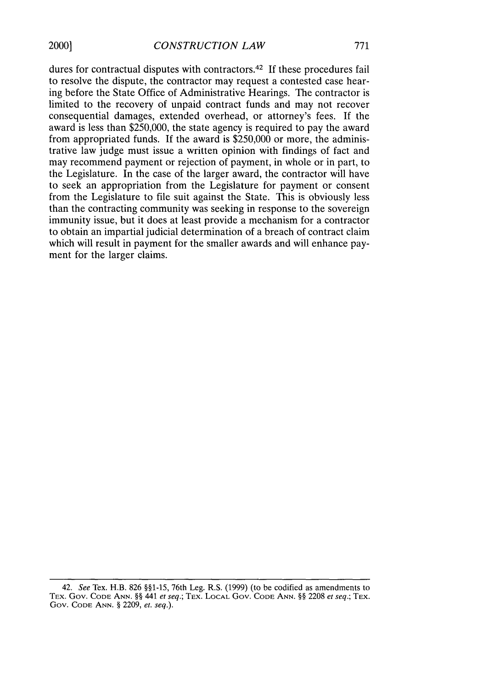dures for contractual disputes with contractors.<sup>42</sup> If these procedures fail to resolve the dispute, the contractor may request a contested case hearing before the State Office of Administrative Hearings. The contractor is limited to the recovery of unpaid contract funds and may not recover consequential damages, extended overhead, or attorney's fees. If the award is less than **\$250,000,** the state agency is required to pay the award from appropriated funds. If the award is \$250,000 or more, the administrative law judge must issue a written opinion with findings of fact and may recommend payment or rejection of payment, in whole or in part, to the Legislature. In the case of the larger award, the contractor will have to seek an appropriation from the Legislature for payment or consent from the Legislature to file suit against the State. This is obviously less than the contracting community was seeking in response to the sovereign immunity issue, but it does at least provide a mechanism for a contractor to obtain an impartial judicial determination of a breach of contract claim which will result in payment for the smaller awards and will enhance payment for the larger claims.

<sup>42.</sup> *See* Tex. H.B. 826 §§1-15, 76th Leg. R.S. (1999) (to be codified as amendments to TEX. Gov. **CODE ANN.** §§ 441 *et seq.;* TEX. LOCAL Gov. **CODE ANN.** §§ 2208 *et seq.;* TEX. Gov. **CODE ANN.** § 2209, *et. seq.).*